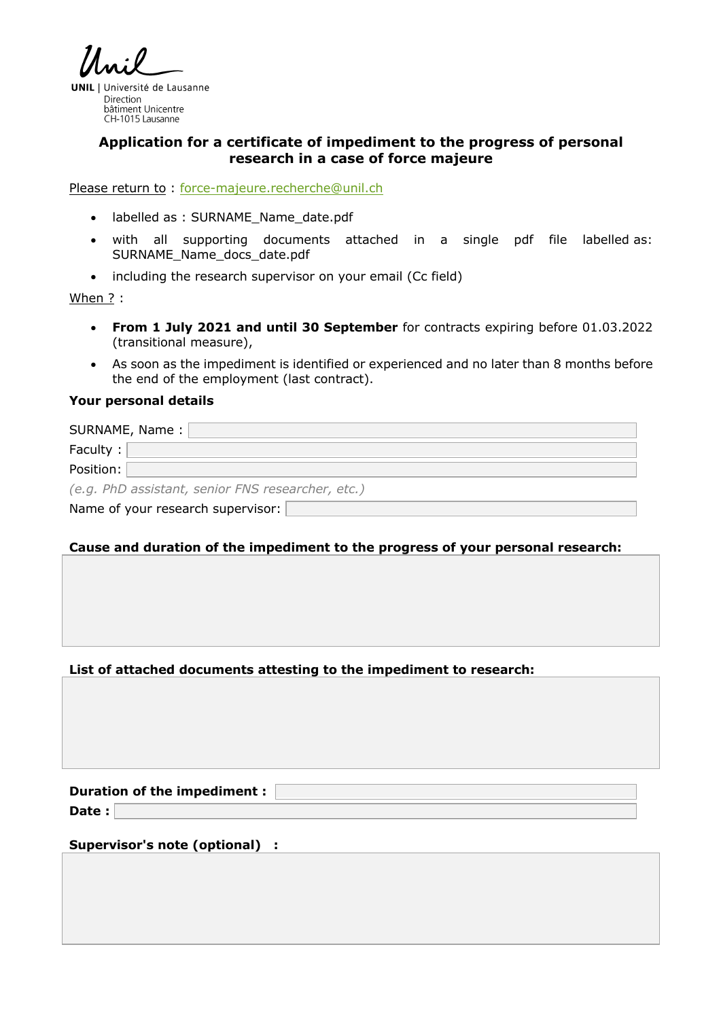**UNIL** | Université de Lausanne Direction bâtiment Unicentre CH-1015 Lausanne

## **Application for a certificate of impediment to the progress of personal research in a case of force majeure**

Please return to : force-majeure.recherche@unil.ch

- labelled as : SURNAME\_Name\_date.pdf
- with all supporting documents attached in a single pdf file labelled as: SURNAME\_Name\_docs\_date.pdf
- including the research supervisor on your email (Cc field)

When ? :

- **From 1 July 2021 and until 30 September** for contracts expiring before 01.03.2022 (transitional measure),
- As soon as the impediment is identified or experienced and no later than 8 months before the end of the employment (last contract).

## **Your personal details**

| SURNAME, Name:                                    |
|---------------------------------------------------|
| Faculty:                                          |
| Position:                                         |
| (e.g. PhD assistant, senior FNS researcher, etc.) |
| Name of your research supervisor:                 |

## **Cause and duration of the impediment to the progress of your personal research:**

## **List of attached documents attesting to the impediment to research:**

**Duration of the impediment :** 

**Date :** 

**Supervisor's note (optional) :**